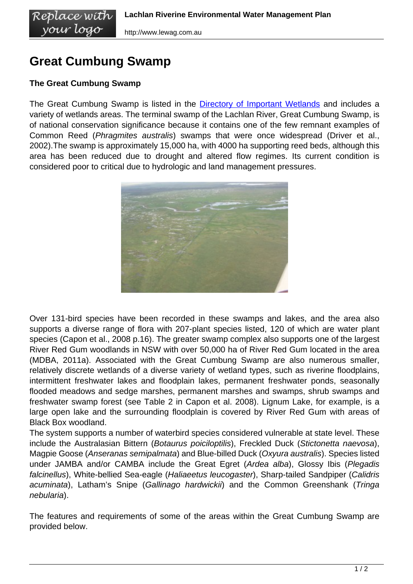## **Great Cumbung Swamp**

## **The Great Cumbung Swamp**

Replace with vour logo

The Great Cumbung Swamp is listed in the [Directory of Important Wetlands](http://www.environment.gov.au/cgi-bin/wetlands/report.pl?smode=DOIW&doiw_refcodelist=NSW045) and includes a variety of wetlands areas. The terminal swamp of the Lachlan River, Great Cumbung Swamp, is of national conservation significance because it contains one of the few remnant examples of Common Reed (Phragmites australis) swamps that were once widespread (Driver et al., 2002).The swamp is approximately 15,000 ha, with 4000 ha supporting reed beds, although this area has been reduced due to drought and altered flow regimes. Its current condition is considered poor to critical due to hydrologic and land management pressures.



Over 131-bird species have been recorded in these swamps and lakes, and the area also supports a diverse range of flora with 207-plant species listed, 120 of which are water plant species (Capon et al., 2008 p.16). The greater swamp complex also supports one of the largest River Red Gum woodlands in NSW with over 50,000 ha of River Red Gum located in the area (MDBA, 2011a). Associated with the Great Cumbung Swamp are also numerous smaller, relatively discrete wetlands of a diverse variety of wetland types, such as riverine floodplains, intermittent freshwater lakes and floodplain lakes, permanent freshwater ponds, seasonally flooded meadows and sedge marshes, permanent marshes and swamps, shrub swamps and freshwater swamp forest (see Table 2 in Capon et al. 2008). Lignum Lake, for example, is a large open lake and the surrounding floodplain is covered by River Red Gum with areas of Black Box woodland.

The system supports a number of waterbird species considered vulnerable at state level. These include the Australasian Bittern (Botaurus poiciloptilis), Freckled Duck (Stictonetta naevosa), Magpie Goose (Anseranas semipalmata) and Blue-billed Duck (Oxyura australis). Species listed under JAMBA and/or CAMBA include the Great Egret (Ardea alba), Glossy Ibis (Plegadis falcinellus), White-bellied Sea-eagle (Haliaeetus leucogaster), Sharp-tailed Sandpiper (Calidris acuminata), Latham's Snipe (Gallinago hardwickii) and the Common Greenshank (Tringa nebularia).

The features and requirements of some of the areas within the Great Cumbung Swamp are provided below.